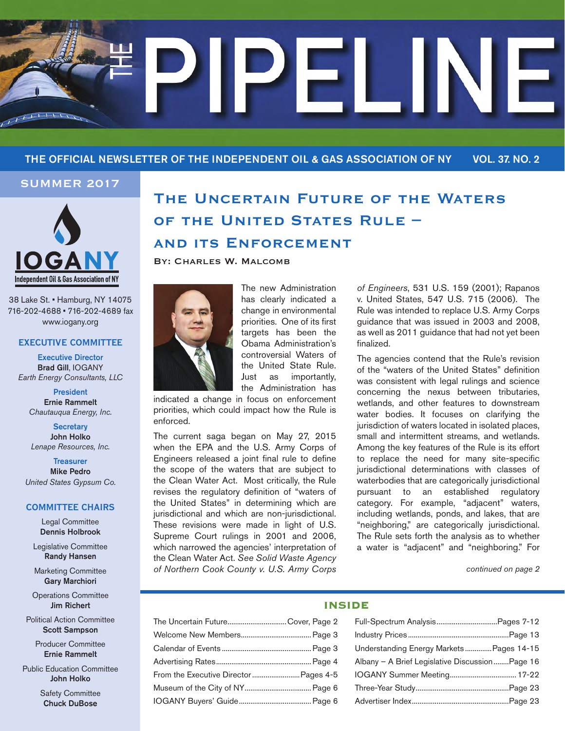

## THE OFFICIAL NEWSLETTER OF THE INDEPENDENT OIL & GAS ASSOCIATION OF NY VOL. 37. NO. 2

## **Summer 2017**



38 Lake St. • Hamburg, NY 14075 716-202-4688 • 716-202-4689 fax www.iogany.org

#### **EXECUTIVE COMMITTEE**

Executive Director Brad Gill, IOGANY *Earth Energy Consultants, LLC*

President Ernie Rammelt *Chautauqua Energy, Inc.*

**Secretary** John Holko *Lenape Resources, Inc.*

**Treasurer** Mike Pedro *United States Gypsum Co.*

#### **COMMITTEE CHAIRS**

Legal Committee Dennis Holbrook

Legislative Committee Randy Hansen

Marketing Committee Gary Marchiori

Operations Committee Jim Richert

Political Action Committee Scott Sampson

> Producer Committee Ernie Rammelt

Public Education Committee John Holko

> Safety Committee Chuck DuBose

# **The Uncertain Future of the Waters of the United States Rule – and its Enforcement**

BY: CHARLES W. MALCOMB



The new Administration has clearly indicated a change in environmental priorities. One of its first targets has been the Obama Administration's controversial Waters of the United State Rule. Just as importantly, the Administration has

indicated a change in focus on enforcement priorities, which could impact how the Rule is enforced.

The current saga began on May 27, 2015 when the EPA and the U.S. Army Corps of Engineers released a joint final rule to define the scope of the waters that are subject to the Clean Water Act. Most critically, the Rule revises the regulatory definition of "waters of the United States" in determining which are jurisdictional and which are non-jurisdictional. These revisions were made in light of U.S. Supreme Court rulings in 2001 and 2006, which narrowed the agencies' interpretation of the Clean Water Act. *See Solid Waste Agency of Northern Cook County v. U.S. Army Corps*  *of Engineers*, 531 U.S. 159 (2001); Rapanos v. United States, 547 U.S. 715 (2006). The Rule was intended to replace U.S. Army Corps guidance that was issued in 2003 and 2008, as well as 2011 guidance that had not yet been finalized.

The agencies contend that the Rule's revision of the "waters of the United States" definition was consistent with legal rulings and science concerning the nexus between tributaries, wetlands, and other features to downstream water bodies. It focuses on clarifying the jurisdiction of waters located in isolated places, small and intermittent streams, and wetlands. Among the key features of the Rule is its effort to replace the need for many site-specific jurisdictional determinations with classes of waterbodies that are categorically jurisdictional pursuant to an established regulatory category. For example, "adjacent" waters, including wetlands, ponds, and lakes, that are "neighboring," are categorically jurisdictional. The Rule sets forth the analysis as to whether a water is "adjacent" and "neighboring." For

*continued on page 2*

## **INSIDE**

| The Uncertain FutureCover, Page 2      |  |
|----------------------------------------|--|
|                                        |  |
|                                        |  |
|                                        |  |
| From the Executive Director  Pages 4-5 |  |
|                                        |  |
|                                        |  |
|                                        |  |

| Understanding Energy Markets Pages 14-15       |
|------------------------------------------------|
| Albany - A Brief Legislative DiscussionPage 16 |
| IOGANY Summer Meeting 17-22                    |
|                                                |
|                                                |